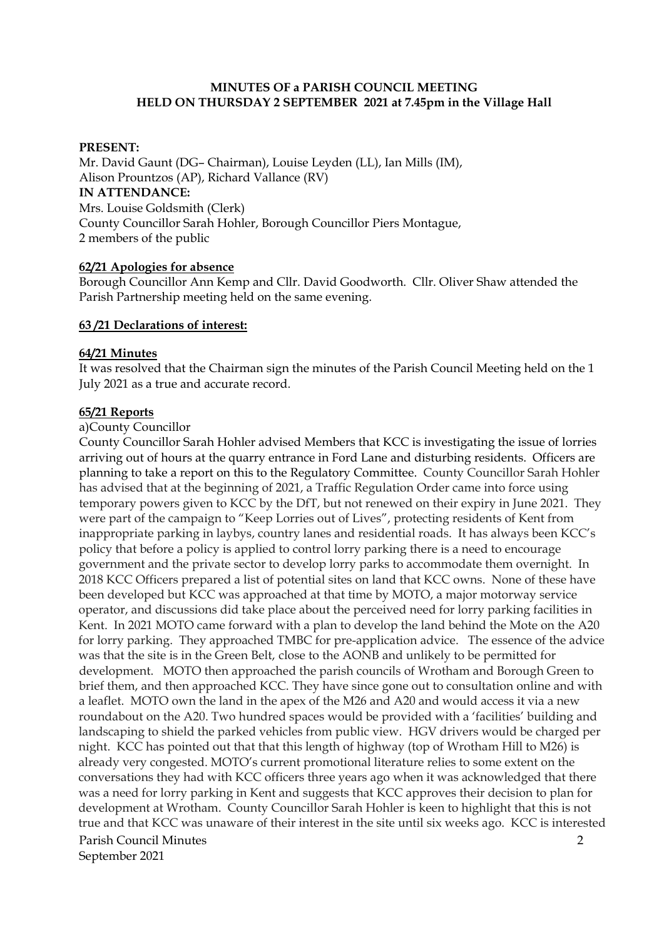### **MINUTES OF a PARISH COUNCIL MEETING HELD ON THURSDAY 2 SEPTEMBER 2021 at 7.45pm in the Village Hall**

### **PRESENT:**

Mr. David Gaunt (DG– Chairman), Louise Leyden (LL), Ian Mills (IM), Alison Prountzos (AP), Richard Vallance (RV) **IN ATTENDANCE:**  Mrs. Louise Goldsmith (Clerk) County Councillor Sarah Hohler, Borough Councillor Piers Montague, 2 members of the public

### **62/21 Apologies for absence**

Borough Councillor Ann Kemp and Cllr. David Goodworth. Cllr. Oliver Shaw attended the Parish Partnership meeting held on the same evening.

### **63 /21 Declarations of interest:**

### **64/21 Minutes**

It was resolved that the Chairman sign the minutes of the Parish Council Meeting held on the 1 July 2021 as a true and accurate record.

### **65/21 Reports**

### a)County Councillor

Parish Council Minutes 2 September 2021 County Councillor Sarah Hohler advised Members that KCC is investigating the issue of lorries arriving out of hours at the quarry entrance in Ford Lane and disturbing residents. Officers are planning to take a report on this to the Regulatory Committee. County Councillor Sarah Hohler has advised that at the beginning of 2021, a Traffic Regulation Order came into force using temporary powers given to KCC by the DfT, but not renewed on their expiry in June 2021. They were part of the campaign to "Keep Lorries out of Lives", protecting residents of Kent from inappropriate parking in laybys, country lanes and residential roads. It has always been KCC's policy that before a policy is applied to control lorry parking there is a need to encourage government and the private sector to develop lorry parks to accommodate them overnight. In 2018 KCC Officers prepared a list of potential sites on land that KCC owns. None of these have been developed but KCC was approached at that time by MOTO, a major motorway service operator, and discussions did take place about the perceived need for lorry parking facilities in Kent. In 2021 MOTO came forward with a plan to develop the land behind the Mote on the A20 for lorry parking. They approached TMBC for pre-application advice. The essence of the advice was that the site is in the Green Belt, close to the AONB and unlikely to be permitted for development. MOTO then approached the parish councils of Wrotham and Borough Green to brief them, and then approached KCC. They have since gone out to consultation online and with a leaflet. MOTO own the land in the apex of the M26 and A20 and would access it via a new roundabout on the A20. Two hundred spaces would be provided with a 'facilities' building and landscaping to shield the parked vehicles from public view. HGV drivers would be charged per night. KCC has pointed out that that this length of highway (top of Wrotham Hill to M26) is already very congested. MOTO's current promotional literature relies to some extent on the conversations they had with KCC officers three years ago when it was acknowledged that there was a need for lorry parking in Kent and suggests that KCC approves their decision to plan for development at Wrotham. County Councillor Sarah Hohler is keen to highlight that this is not true and that KCC was unaware of their interest in the site until six weeks ago. KCC is interested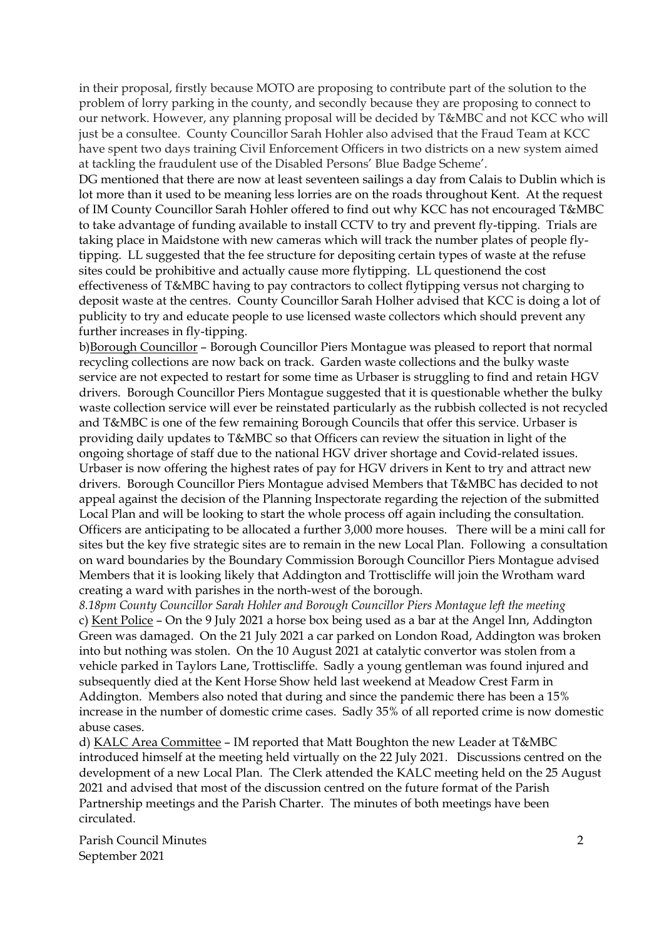in their proposal, firstly because MOTO are proposing to contribute part of the solution to the problem of lorry parking in the county, and secondly because they are proposing to connect to our network. However, any planning proposal will be decided by T&MBC and not KCC who will just be a consultee. County Councillor Sarah Hohler also advised that the Fraud Team at KCC have spent two days training Civil Enforcement Officers in two districts on a new system aimed at tackling the fraudulent use of the Disabled Persons' Blue Badge Scheme'.

DG mentioned that there are now at least seventeen sailings a day from Calais to Dublin which is lot more than it used to be meaning less lorries are on the roads throughout Kent. At the request of IM County Councillor Sarah Hohler offered to find out why KCC has not encouraged T&MBC to take advantage of funding available to install CCTV to try and prevent fly-tipping. Trials are taking place in Maidstone with new cameras which will track the number plates of people flytipping. LL suggested that the fee structure for depositing certain types of waste at the refuse sites could be prohibitive and actually cause more flytipping. LL questionend the cost effectiveness of T&MBC having to pay contractors to collect flytipping versus not charging to deposit waste at the centres. County Councillor Sarah Holher advised that KCC is doing a lot of publicity to try and educate people to use licensed waste collectors which should prevent any further increases in fly-tipping.

b)Borough Councillor – Borough Councillor Piers Montague was pleased to report that normal recycling collections are now back on track. Garden waste collections and the bulky waste service are not expected to restart for some time as Urbaser is struggling to find and retain HGV drivers. Borough Councillor Piers Montague suggested that it is questionable whether the bulky waste collection service will ever be reinstated particularly as the rubbish collected is not recycled and T&MBC is one of the few remaining Borough Councils that offer this service. Urbaser is providing daily updates to T&MBC so that Officers can review the situation in light of the ongoing shortage of staff due to the national HGV driver shortage and Covid-related issues. Urbaser is now offering the highest rates of pay for HGV drivers in Kent to try and attract new drivers. Borough Councillor Piers Montague advised Members that T&MBC has decided to not appeal against the decision of the Planning Inspectorate regarding the rejection of the submitted Local Plan and will be looking to start the whole process off again including the consultation. Officers are anticipating to be allocated a further 3,000 more houses. There will be a mini call for sites but the key five strategic sites are to remain in the new Local Plan. Following a consultation on ward boundaries by the Boundary Commission Borough Councillor Piers Montague advised Members that it is looking likely that Addington and Trottiscliffe will join the Wrotham ward creating a ward with parishes in the north-west of the borough.

*8.18pm County Councillor Sarah Hohler and Borough Councillor Piers Montague left the meeting*  c) Kent Police – On the 9 July 2021 a horse box being used as a bar at the Angel Inn, Addington Green was damaged. On the 21 July 2021 a car parked on London Road, Addington was broken into but nothing was stolen. On the 10 August 2021 at catalytic convertor was stolen from a vehicle parked in Taylors Lane, Trottiscliffe. Sadly a young gentleman was found injured and subsequently died at the Kent Horse Show held last weekend at Meadow Crest Farm in Addington. Members also noted that during and since the pandemic there has been a 15% increase in the number of domestic crime cases. Sadly 35% of all reported crime is now domestic abuse cases.

d) KALC Area Committee – IM reported that Matt Boughton the new Leader at T&MBC introduced himself at the meeting held virtually on the 22 July 2021. Discussions centred on the development of a new Local Plan. The Clerk attended the KALC meeting held on the 25 August 2021 and advised that most of the discussion centred on the future format of the Parish Partnership meetings and the Parish Charter. The minutes of both meetings have been circulated.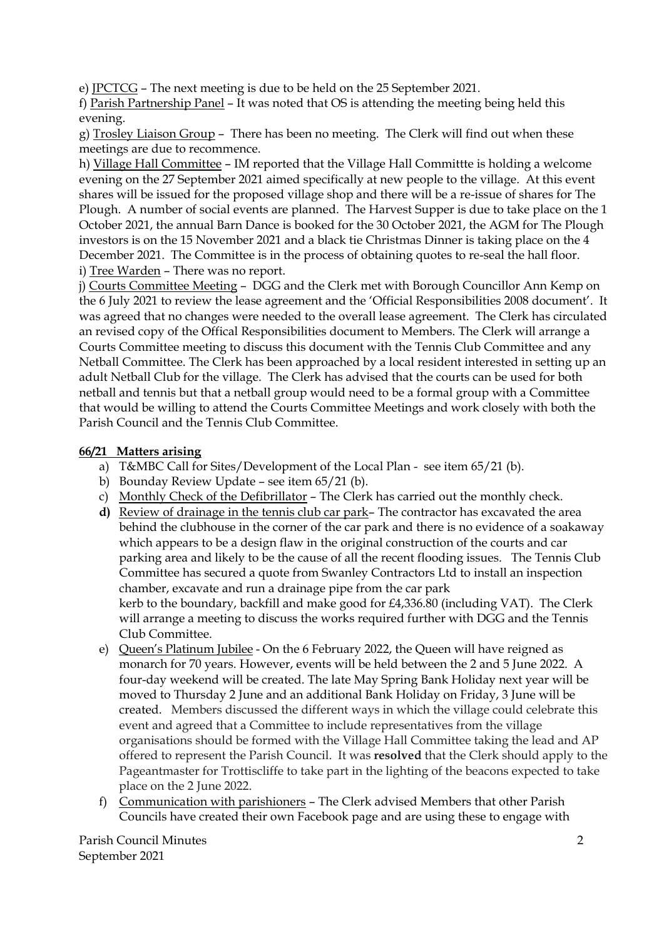e) JPCTCG – The next meeting is due to be held on the 25 September 2021.

f) Parish Partnership Panel – It was noted that OS is attending the meeting being held this evening.

g) Trosley Liaison Group – There has been no meeting. The Clerk will find out when these meetings are due to recommence.

h) Village Hall Committee – IM reported that the Village Hall Committte is holding a welcome evening on the 27 September 2021 aimed specifically at new people to the village. At this event shares will be issued for the proposed village shop and there will be a re-issue of shares for The Plough. A number of social events are planned. The Harvest Supper is due to take place on the 1 October 2021, the annual Barn Dance is booked for the 30 October 2021, the AGM for The Plough investors is on the 15 November 2021 and a black tie Christmas Dinner is taking place on the 4 December 2021. The Committee is in the process of obtaining quotes to re-seal the hall floor. i) Tree Warden – There was no report.

j) Courts Committee Meeting – DGG and the Clerk met with Borough Councillor Ann Kemp on the 6 July 2021 to review the lease agreement and the 'Official Responsibilities 2008 document'. It was agreed that no changes were needed to the overall lease agreement. The Clerk has circulated an revised copy of the Offical Responsibilities document to Members. The Clerk will arrange a Courts Committee meeting to discuss this document with the Tennis Club Committee and any Netball Committee. The Clerk has been approached by a local resident interested in setting up an adult Netball Club for the village. The Clerk has advised that the courts can be used for both netball and tennis but that a netball group would need to be a formal group with a Committee that would be willing to attend the Courts Committee Meetings and work closely with both the Parish Council and the Tennis Club Committee.

# **66/21 Matters arising**

- a) T&MBC Call for Sites/Development of the Local Plan see item 65/21 (b).
- b) Bounday Review Update see item 65/21 (b).
- c) Monthly Check of the Defibrillator The Clerk has carried out the monthly check.
- **d)** Review of drainage in the tennis club car park– The contractor has excavated the area behind the clubhouse in the corner of the car park and there is no evidence of a soakaway which appears to be a design flaw in the original construction of the courts and car parking area and likely to be the cause of all the recent flooding issues. The Tennis Club Committee has secured a quote from Swanley Contractors Ltd to install an inspection chamber, excavate and run a drainage pipe from the car park kerb to the boundary, backfill and make good for £4,336.80 (including VAT). The Clerk will arrange a meeting to discuss the works required further with DGG and the Tennis Club Committee.
- e) Queen's Platinum Jubilee On the 6 February 2022, the Queen will have reigned as monarch for 70 years. However, events will be held between the 2 and 5 June 2022. A four-day weekend will be created. The late May Spring Bank Holiday next year will be moved to Thursday 2 June and an additional Bank Holiday on Friday, 3 June will be created. Members discussed the different ways in which the village could celebrate this event and agreed that a Committee to include representatives from the village organisations should be formed with the Village Hall Committee taking the lead and AP offered to represent the Parish Council. It was **resolved** that the Clerk should apply to the Pageantmaster for Trottiscliffe to take part in the lighting of the beacons expected to take place on the 2 June 2022.
- f) Communication with parishioners The Clerk advised Members that other Parish Councils have created their own Facebook page and are using these to engage with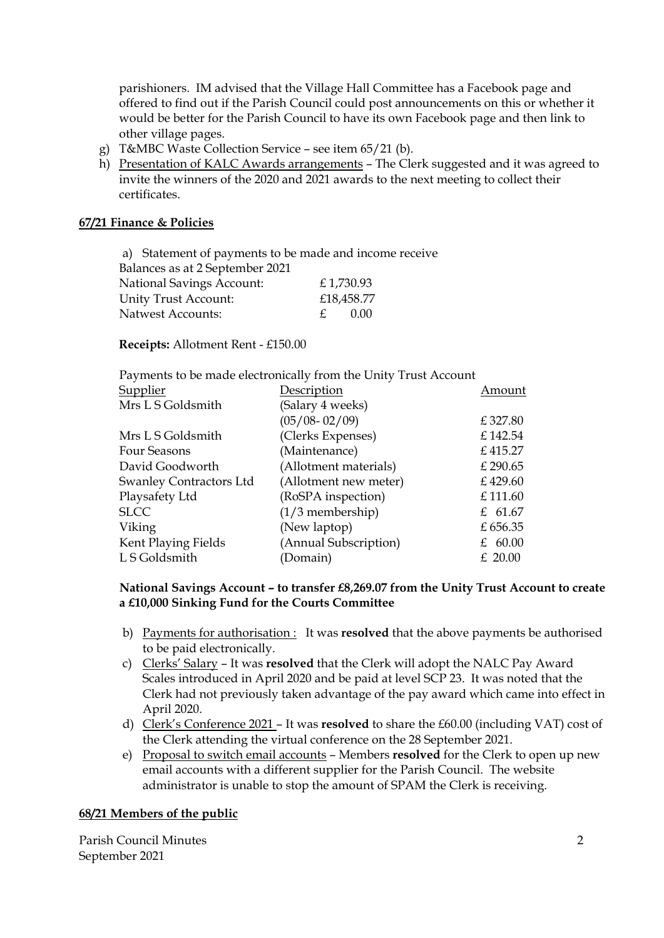parishioners. IM advised that the Village Hall Committee has a Facebook page and offered to find out if the Parish Council could post announcements on this or whether it would be better for the Parish Council to have its own Facebook page and then link to other village pages.

- g) T&MBC Waste Collection Service see item 65/21 (b).
- h) Presentation of KALC Awards arrangements The Clerk suggested and it was agreed to invite the winners of the 2020 and 2021 awards to the next meeting to collect their certificates.

## **67/21 Finance & Policies**

| a) Statement of payments to be made and income receive |
|--------------------------------------------------------|
| Balances as at 2 September 2021                        |
| £1,730.93                                              |
| £18,458.77                                             |
| (1)(1)<br>£                                            |
|                                                        |

 **Receipts:** Allotment Rent - £150.00

Payments to be made electronically from the Unity Trust Account

| Supplier                       | Description           | Amount    |
|--------------------------------|-----------------------|-----------|
| Mrs L S Goldsmith              | (Salary 4 weeks)      |           |
|                                | $(05/08 - 02/09)$     | £327.80   |
| Mrs L S Goldsmith              | (Clerks Expenses)     | £142.54   |
| Four Seasons                   | (Maintenance)         | £415.27   |
| David Goodworth                | (Allotment materials) | £290.65   |
| <b>Swanley Contractors Ltd</b> | (Allotment new meter) | £429.60   |
| Playsafety Ltd                 | (RoSPA inspection)    | £111.60   |
| <b>SLCC</b>                    | $(1/3$ membership)    | £ 61.67   |
| Viking                         | (New laptop)          | £656.35   |
| Kent Playing Fields            | (Annual Subscription) | £ $60.00$ |
| L S Goldsmith                  | (Domain)              | $£$ 20.00 |

## **National Savings Account – to transfer £8,269.07 from the Unity Trust Account to create a £10,000 Sinking Fund for the Courts Committee**

- b) Payments for authorisation : It was **resolved** that the above payments be authorised to be paid electronically.
- c) Clerks' Salary It was **resolved** that the Clerk will adopt the NALC Pay Award Scales introduced in April 2020 and be paid at level SCP 23. It was noted that the Clerk had not previously taken advantage of the pay award which came into effect in April 2020.
- d) Clerk's Conference 2021 It was **resolved** to share the £60.00 (including VAT) cost of the Clerk attending the virtual conference on the 28 September 2021.
- e) Proposal to switch email accounts Members **resolved** for the Clerk to open up new email accounts with a different supplier for the Parish Council. The website administrator is unable to stop the amount of SPAM the Clerk is receiving.

## **68/21 Members of the public**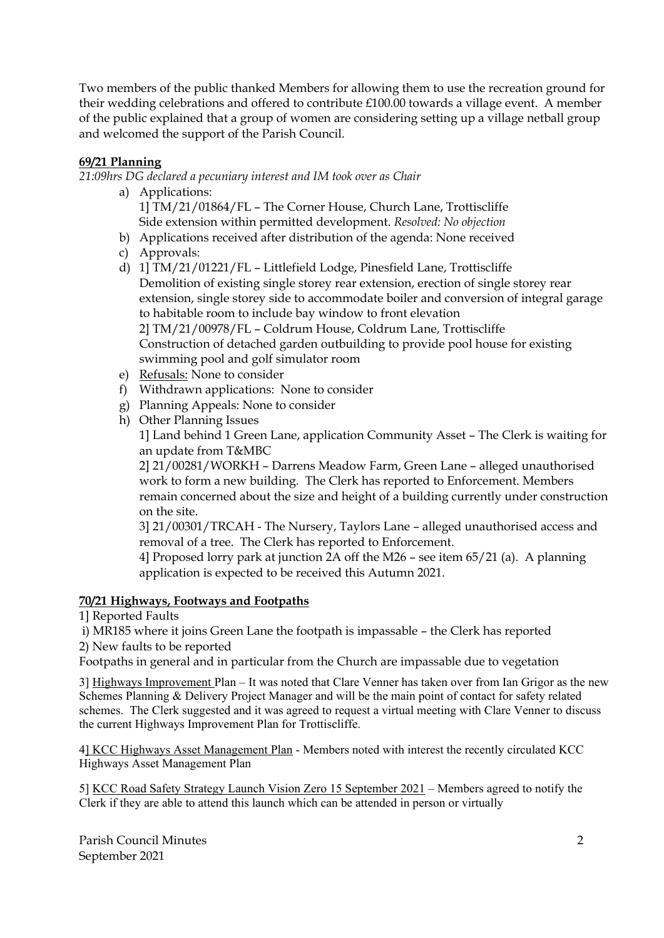Two members of the public thanked Members for allowing them to use the recreation ground for their wedding celebrations and offered to contribute £100.00 towards a village event. A member of the public explained that a group of women are considering setting up a village netball group and welcomed the support of the Parish Council.

# **69/21 Planning**

*21:09hrs DG declared a pecuniary interest and IM took over as Chair* 

- a) Applications: 1] TM/21/01864/FL – The Corner House, Church Lane, Trottiscliffe Side extension within permitted development. *Resolved: No objection*
- b) Applications received after distribution of the agenda: None received
- c) Approvals:
- d) 1] TM/21/01221/FL Littlefield Lodge, Pinesfield Lane, Trottiscliffe Demolition of existing single storey rear extension, erection of single storey rear extension, single storey side to accommodate boiler and conversion of integral garage to habitable room to include bay window to front elevation 2] TM/21/00978/FL – Coldrum House, Coldrum Lane, Trottiscliffe Construction of detached garden outbuilding to provide pool house for existing swimming pool and golf simulator room
- e) Refusals: None to consider
- f) Withdrawn applications: None to consider
- g) Planning Appeals: None to consider
- h) Other Planning Issues

1] Land behind 1 Green Lane, application Community Asset – The Clerk is waiting for an update from T&MBC

2] 21/00281/WORKH – Darrens Meadow Farm, Green Lane – alleged unauthorised work to form a new building. The Clerk has reported to Enforcement. Members remain concerned about the size and height of a building currently under construction on the site.

3] 21/00301/TRCAH - The Nursery, Taylors Lane – alleged unauthorised access and removal of a tree. The Clerk has reported to Enforcement.

4] Proposed lorry park at junction 2A off the M26 – see item 65/21 (a). A planning application is expected to be received this Autumn 2021.

# **70/21 Highways, Footways and Footpaths**

1] Reported Faults

i) MR185 where it joins Green Lane the footpath is impassable – the Clerk has reported

2) New faults to be reported

Footpaths in general and in particular from the Church are impassable due to vegetation

3] Highways Improvement Plan – It was noted that Clare Venner has taken over from Ian Grigor as the new Schemes Planning & Delivery Project Manager and will be the main point of contact for safety related schemes. The Clerk suggested and it was agreed to request a virtual meeting with Clare Venner to discuss the current Highways Improvement Plan for Trottiscliffe.

4] KCC Highways Asset Management Plan - Members noted with interest the recently circulated KCC Highways Asset Management Plan

5] KCC Road Safety Strategy Launch Vision Zero 15 September 2021 – Members agreed to notify the Clerk if they are able to attend this launch which can be attended in person or virtually